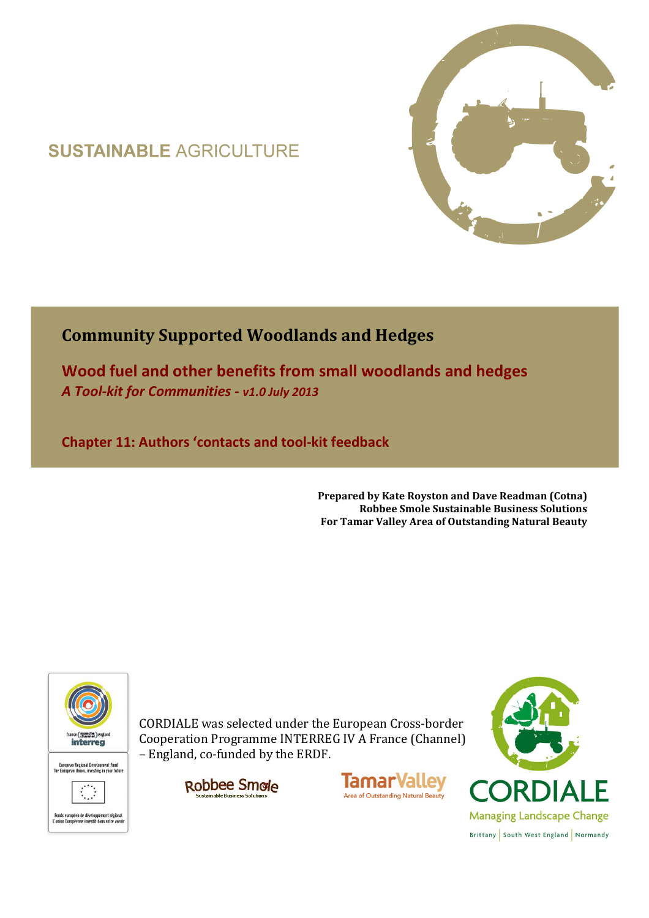## **SUSTAINABLE AGRICULTURE**



## **Community Supported Woodlands and Hedges**

**Wood fuel and other benefits from small woodlands and hedges**  *A Tool-kit for Communities - v1.0 July 2013*

**Chapter 11: Authors 'contacts and tool-kit feedback** 

**Prepared by Kate Royston and Dave Readman (Cotna) Robbee Smole Sustainable Business Solutions For Tamar Valley Area of Outstanding Natural Beauty**



CORDIALE was selected under the European Cross-border Cooperation Programme INTERREG IV A France (Channel) – England, co-funded by the ERDF.